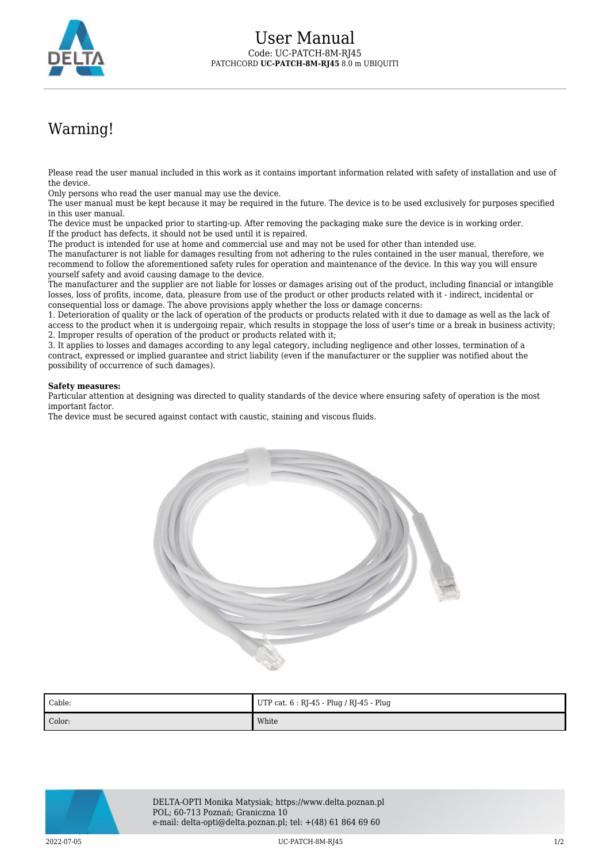

## Warning!

Please read the user manual included in this work as it contains important information related with safety of installation and use of the device.

Only persons who read the user manual may use the device.

The user manual must be kept because it may be required in the future. The device is to be used exclusively for purposes specified in this user manual.

The device must be unpacked prior to starting-up. After removing the packaging make sure the device is in working order. If the product has defects, it should not be used until it is repaired.

The product is intended for use at home and commercial use and may not be used for other than intended use.

The manufacturer is not liable for damages resulting from not adhering to the rules contained in the user manual, therefore, we recommend to follow the aforementioned safety rules for operation and maintenance of the device. In this way you will ensure yourself safety and avoid causing damage to the device.

The manufacturer and the supplier are not liable for losses or damages arising out of the product, including financial or intangible losses, loss of profits, income, data, pleasure from use of the product or other products related with it - indirect, incidental or consequential loss or damage. The above provisions apply whether the loss or damage concerns:

1. Deterioration of quality or the lack of operation of the products or products related with it due to damage as well as the lack of access to the product when it is undergoing repair, which results in stoppage the loss of user's time or a break in business activity; 2. Improper results of operation of the product or products related with it;

3. It applies to losses and damages according to any legal category, including negligence and other losses, termination of a contract, expressed or implied guarantee and strict liability (even if the manufacturer or the supplier was notified about the possibility of occurrence of such damages).

## **Safety measures:**

Particular attention at designing was directed to quality standards of the device where ensuring safety of operation is the most important factor.

The device must be secured against contact with caustic, staining and viscous fluids.



| Cable: | UTP cat. $6:$ RJ-45 - Plug / RJ-45 - Plug |
|--------|-------------------------------------------|
| Color: | White                                     |



DELTA-OPTI Monika Matysiak; https://www.delta.poznan.pl POL; 60-713 Poznań; Graniczna 10 e-mail: delta-opti@delta.poznan.pl; tel: +(48) 61 864 69 60